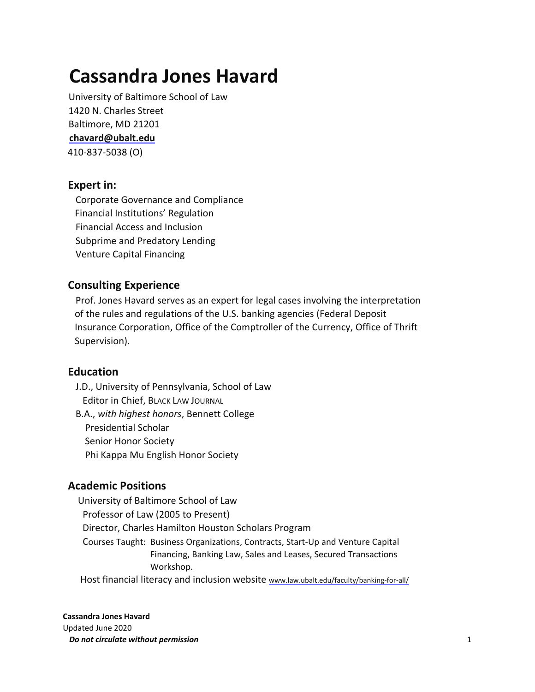# **Cassandra Jones Havard**

University of Baltimore School of Law 1420 N. Charles Street Baltimore, MD 21201 **chavard@ubalt.edu** 410-837-5038 (O)

## **Expert in:**

 Corporate Governance and Compliance Financial Institutions' Regulation Financial Access and Inclusion Subprime and Predatory Lending Venture Capital Financing

## **Consulting Experience**

 Prof. Jones Havard serves as an expert for legal cases involving the interpretation of the rules and regulations of the U.S. banking agencies (Federal Deposit Insurance Corporation, Office of the Comptroller of the Currency, Office of Thrift Supervision).

#### **Education**

 J.D., University of Pennsylvania, School of Law Editor in Chief, BLACK LAW JOURNAL

 B.A., *with highest honors*, Bennett College Presidential Scholar Senior Honor Society Phi Kappa Mu English Honor Society

## **Academic Positions**

 University of Baltimore School of Law Professor of Law (2005 to Present) Director, Charles Hamilton Houston Scholars Program Courses Taught: Business Organizations, Contracts, Start-Up and Venture Capital Financing, Banking Law, Sales and Leases, Secured Transactions Workshop. Host financial literacy and inclusion website www.law.ubalt.edu/faculty/banking-for-all/

#### **Cassandra Jones Havard**

Updated June 2020 *Do not circulate without permission* 1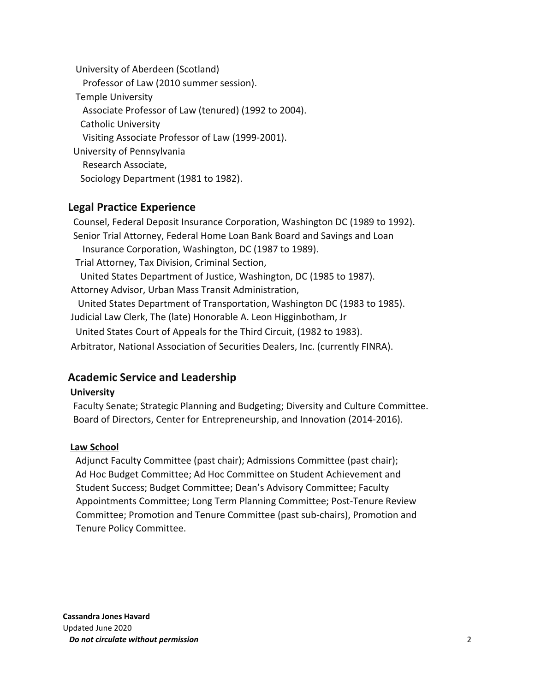University of Aberdeen (Scotland) Professor of Law (2010 summer session). Temple University Associate Professor of Law (tenured) (1992 to 2004). Catholic University Visiting Associate Professor of Law (1999-2001). University of Pennsylvania Research Associate, Sociology Department (1981 to 1982).

## **Legal Practice Experience**

Counsel, Federal Deposit Insurance Corporation, Washington DC (1989 to 1992). Senior Trial Attorney, Federal Home Loan Bank Board and Savings and Loan Insurance Corporation, Washington, DC (1987 to 1989). Trial Attorney, Tax Division, Criminal Section, United States Department of Justice, Washington, DC (1985 to 1987). Attorney Advisor, Urban Mass Transit Administration, United States Department of Transportation, Washington DC (1983 to 1985). Judicial Law Clerk, The (late) Honorable A. Leon Higginbotham, Jr United States Court of Appeals for the Third Circuit, (1982 to 1983). Arbitrator, National Association of Securities Dealers, Inc. (currently FINRA).

# **Academic Service and Leadership**

#### **University**

 Faculty Senate; Strategic Planning and Budgeting; Diversity and Culture Committee. Board of Directors, Center for Entrepreneurship, and Innovation (2014-2016).

#### **Law School**

Adjunct Faculty Committee (past chair); Admissions Committee (past chair); Ad Hoc Budget Committee; Ad Hoc Committee on Student Achievement and Student Success; Budget Committee; Dean's Advisory Committee; Faculty Appointments Committee; Long Term Planning Committee; Post-Tenure Review Committee; Promotion and Tenure Committee (past sub-chairs), Promotion and Tenure Policy Committee.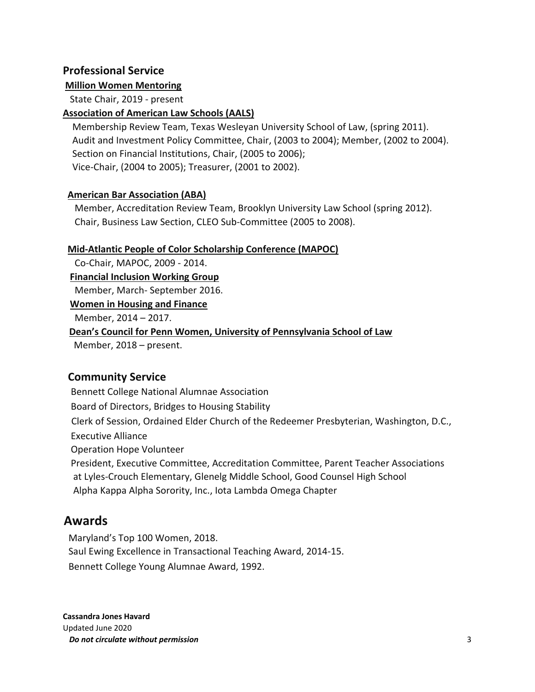## **Professional Service**

#### **Million Women Mentoring**

State Chair, 2019 - present

#### **Association of American Law Schools (AALS)**

 Membership Review Team, Texas Wesleyan University School of Law, (spring 2011). Audit and Investment Policy Committee, Chair, (2003 to 2004); Member, (2002 to 2004). Section on Financial Institutions, Chair, (2005 to 2006); Vice-Chair, (2004 to 2005); Treasurer, (2001 to 2002).

#### **American Bar Association (ABA)**

 Member, Accreditation Review Team, Brooklyn University Law School (spring 2012). Chair, Business Law Section, CLEO Sub-Committee (2005 to 2008).

#### **Mid-Atlantic People of Color Scholarship Conference (MAPOC)**

Co-Chair, MAPOC, 2009 - 2014.

 **Financial Inclusion Working Group** 

Member, March- September 2016.

#### **Women in Housing and Finance**

Member, 2014 – 2017.

#### **Dean's Council for Penn Women, University of Pennsylvania School of Law**

Member, 2018 – present.

## **Community Service**

Bennett College National Alumnae Association Board of Directors, Bridges to Housing Stability Clerk of Session, Ordained Elder Church of the Redeemer Presbyterian, Washington, D.C., Executive Alliance Operation Hope Volunteer President, Executive Committee, Accreditation Committee, Parent Teacher Associations at Lyles-Crouch Elementary, Glenelg Middle School, Good Counsel High School Alpha Kappa Alpha Sorority, Inc., Iota Lambda Omega Chapter

# **Awards**

Maryland's Top 100 Women, 2018. Saul Ewing Excellence in Transactional Teaching Award, 2014-15. Bennett College Young Alumnae Award, 1992.

**Cassandra Jones Havard**  Updated June 2020 *Do not circulate without permission* 3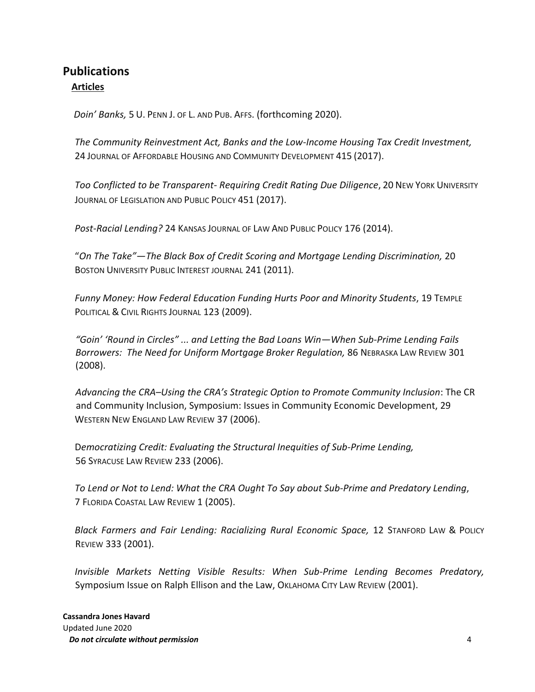# **Publications Articles**

*Doin' Banks,* 5 U. PENN J. OF L. AND PUB. AFFS. (forthcoming 2020).

*The Community Reinvestment Act, Banks and the Low-Income Housing Tax Credit Investment,*  24 JOURNAL OF AFFORDABLE HOUSING AND COMMUNITY DEVELOPMENT 415 (2017).

*Too Conflicted to be Transparent- Requiring Credit Rating Due Diligence*, 20 NEW YORK UNIVERSITY JOURNAL OF LEGISLATION AND PUBLIC POLICY 451 (2017).

*Post-Racial Lending?* 24 KANSAS JOURNAL OF LAW AND PUBLIC POLICY 176 (2014).

"*On The Take"—The Black Box of Credit Scoring and Mortgage Lending Discrimination,* 20 BOSTON UNIVERSITY PUBLIC INTEREST JOURNAL 241 (2011).

*Funny Money: How Federal Education Funding Hurts Poor and Minority Students*, 19 TEMPLE POLITICAL & CIVIL RIGHTS JOURNAL 123 (2009).

*"Goin' 'Round in Circles" ... and Letting the Bad Loans Win—When Sub-Prime Lending Fails Borrowers: The Need for Uniform Mortgage Broker Regulation,* 86 NEBRASKA LAW REVIEW 301 (2008).

*Advancing the CRA–Using the CRA's Strategic Option to Promote Community Inclusion*: The CR and Community Inclusion, Symposium: Issues in Community Economic Development, 29 WESTERN NEW ENGLAND LAW REVIEW 37 (2006).

D*emocratizing Credit: Evaluating the Structural Inequities of Sub-Prime Lending,*  56 SYRACUSE LAW REVIEW 233 (2006).

*To Lend or Not to Lend: What the CRA Ought To Say about Sub-Prime and Predatory Lending*, 7 FLORIDA COASTAL LAW REVIEW 1 (2005).

*Black Farmers and Fair Lending: Racializing Rural Economic Space,* 12 STANFORD LAW & POLICY REVIEW 333 (2001).

*Invisible Markets Netting Visible Results: When Sub-Prime Lending Becomes Predatory,* Symposium Issue on Ralph Ellison and the Law, OKLAHOMA CITY LAW REVIEW (2001).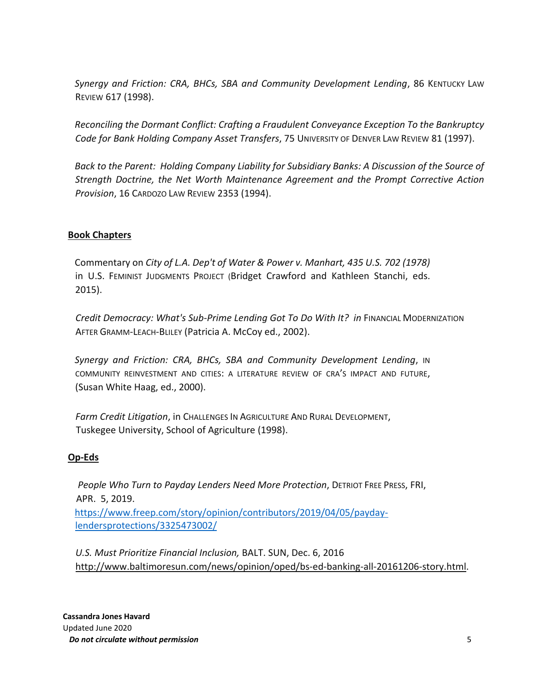*Synergy and Friction: CRA, BHCs, SBA and Community Development Lending*, 86 KENTUCKY LAW REVIEW 617 (1998).

*Reconciling the Dormant Conflict: Crafting a Fraudulent Conveyance Exception To the Bankruptcy Code for Bank Holding Company Asset Transfers*, 75 UNIVERSITY OF DENVER LAW REVIEW 81 (1997).

*Back to the Parent: Holding Company Liability for Subsidiary Banks: A Discussion of the Source of Strength Doctrine, the Net Worth Maintenance Agreement and the Prompt Corrective Action Provision*, 16 CARDOZO LAW REVIEW 2353 (1994).

## **Book Chapters**

Commentary on *City of L.A. Dep't of Water & Power v. Manhart, 435 U.S. 702 (1978)*  in U.S. FEMINIST JUDGMENTS PROJECT (Bridget Crawford and Kathleen Stanchi, eds. 2015).

*Credit Democracy: What's Sub-Prime Lending Got To Do With It? in* FINANCIAL MODERNIZATION AFTER GRAMM-LEACH-BLILEY (Patricia A. McCoy ed., 2002).

*Synergy and Friction: CRA, BHCs, SBA and Community Development Lending*, IN COMMUNITY REINVESTMENT AND CITIES: A LITERATURE REVIEW OF CRA'S IMPACT AND FUTURE, (Susan White Haag, ed., 2000).

*Farm Credit Litigation*, in CHALLENGES IN AGRICULTURE AND RURAL DEVELOPMENT, Tuskegee University, School of Agriculture (1998).

#### **Op-Eds**

*People Who Turn to Payday Lenders Need More Protection*, DETRIOT FREE PRESS, FRI, APR. 5, 2019. [https://www.freep.com/story/opinion/contributors/2019/04/05/payday](https://www.freep.com/story/opinion/contributors/2019/04/05/payday-lenders-protections/3325473002/)[lendersprotections/3325473002/](https://www.freep.com/story/opinion/contributors/2019/04/05/payday-lenders-protections/3325473002/)

*U.S. Must Prioritize Financial Inclusion,* BALT. SUN, Dec. 6, 2016 [http://www.baltimoresun.com/news/opinion/oped/bs-ed-banking-all-20161206-story.html.](http://www.baltimoresun.com/news/opinion/oped/bs-ed-banking-all-20161206-story.html)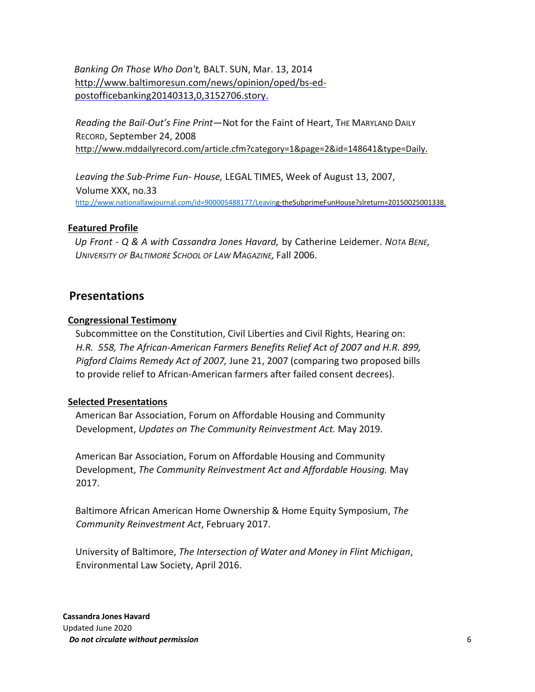*Banking On Those Who Don'[t,](https://webmail.ubalt.edu/owa/redir.aspx?C=D8z3pu7kVUiPuWvkzCIa278Nk-8nidEIL1tUN6Ka9ymlfeS7KV91TwzA09xyCNenw3kfbHdoQCk.&URL=http%3a%2f%2fwww.BaltimoreSun.com%2fnews%2fopinion%2fop-ed%2fbs-ed-post-office-banking-20140313%2c0%2c3152706.story)* [BA](https://webmail.ubalt.edu/owa/redir.aspx?C=D8z3pu7kVUiPuWvkzCIa278Nk-8nidEIL1tUN6Ka9ymlfeS7KV91TwzA09xyCNenw3kfbHdoQCk.&URL=http%3a%2f%2fwww.BaltimoreSun.com%2fnews%2fopinion%2fop-ed%2fbs-ed-post-office-banking-20140313%2c0%2c3152706.story)LT. SUN, Mar. 13, 2014 [http://www.baltimoresun.com/news/opinion/oped/bs-ed](http://www.baltimoresun.com/news/opinion/oped/bs-ed-post-office-banking-20140313,0,3152706.story)[postofficebanking20140313,0,3152706.story.](http://www.baltimoresun.com/news/opinion/oped/bs-ed-post-office-banking-20140313,0,3152706.story) 

*Reading the Bail-Out's Fine Print*—Not for the Faint of Heart, THE MARYLAND DAILY RECORD, September 24, 2008 [http://www.mddailyrecord.com/article.cfm?category=1&page=2&id=148641&type=Daily.](https://myub.ubalt.edu/exchweb/bin/,DanaInfo=mail2.ubalt.edu+redir.asp?URL=http://www.mddailyrecord.com/article.cfm?category=1%26page=2%26id=148641%26type=Daily)

*Leaving the Sub-Prime Fun- House,* LEGAL TIMES, Week of August 13, 2007, Volume XXX, no.33 <http://www.nationallawjournal.com/id=900005488177/Leavi>ng-theSubprimeFunHouse?slreturn=20150025001338.

#### **Featured Profile**

*Up Front - Q & A with Cassandra Jones Havard,* by Catherine Leidemer. *NOTA BENE, UNIVERSITY OF BALTIMORE SCHOOL OF LAW MAGAZINE,* Fall 2006.

## **Presentations**

#### **Congressional Testimony**

Subcommittee on the Constitution, Civil Liberties and Civil Rights, Hearing on: *H.R. 558, The African-American Farmers Benefits Relief Act of 2007 and H.R. 899, Pigford Claims Remedy Act of 2007,* June 21, 2007 (comparing two proposed bills to provide relief to African-American farmers after failed consent decrees).

#### **Selected Presentations**

American Bar Association, Forum on Affordable Housing and Community Development, *Updates on The Community Reinvestment Act.* May 2019.

American Bar Association, Forum on Affordable Housing and Community Development, *The Community Reinvestment Act and Affordable Housing.* May 2017.

Baltimore African American Home Ownership & Home Equity Symposium, *The Community Reinvestment Act*, February 2017.

University of Baltimore, *The Intersection of Water and Money in Flint Michigan*, Environmental Law Society, April 2016.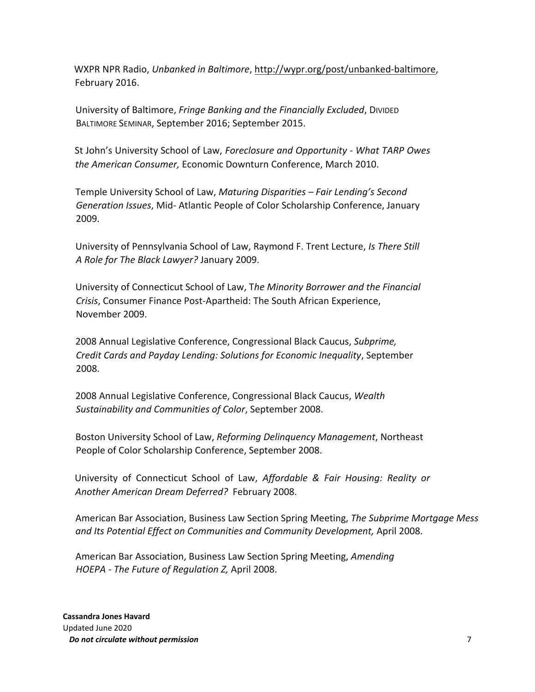WXPR NPR Radio, *Unbanked in Baltimore*, [http://wypr.org/post/unbanked-baltimore,](http://wypr.org/post/unbanked-baltimore) [Fe](http://wypr.org/post/unbanked-baltimore)bruary 2016.

University of Baltimore, *Fringe Banking and the Financially Excluded*, DIVIDED BALTIMORE SEMINAR, September 2016; September 2015.

St John's University School of Law, *Foreclosure and Opportunity - What TARP Owes the American Consumer,* Economic Downturn Conference, March 2010.

Temple University School of Law, *Maturing Disparities – Fair Lending's Second Generation Issues*, Mid- Atlantic People of Color Scholarship Conference, January 2009.

University of Pennsylvania School of Law, Raymond F. Trent Lecture, *Is There Still A Role for The Black Lawyer?* January 2009.

University of Connecticut School of Law, T*he Minority Borrower and the Financial Crisis*, Consumer Finance Post-Apartheid: The South African Experience, November 2009.

2008 Annual Legislative Conference, Congressional Black Caucus, *Subprime, Credit Cards and Payday Lending: Solutions for Economic Inequality*, September 2008.

2008 Annual Legislative Conference, Congressional Black Caucus, *Wealth Sustainability and Communities of Color*, September 2008.

Boston University School of Law, *Reforming Delinquency Management*, Northeast People of Color Scholarship Conference, September 2008.

University of Connecticut School of Law, *Affordable & Fair Housing: Reality or Another American Dream Deferred?* February 2008.

American Bar Association, Business Law Section Spring Meeting, *The Subprime Mortgage Mess and Its Potential Effect on Communities and Community Development,* April 2008.

American Bar Association, Business Law Section Spring Meeting, *Amending HOEPA - The Future of Regulation Z,* April 2008.